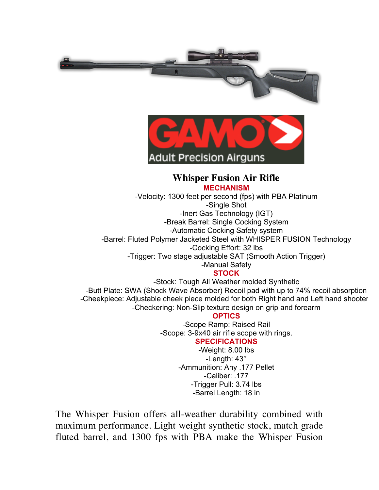



#### **Whisper Fusion Air Rifle MECHANISM**

-Velocity: 1300 feet per second (fps) with PBA Platinum -Single Shot

-Inert Gas Technology (IGT)

-Break Barrel: Single Cocking System

-Automatic Cocking Safety system

-Barrel: Fluted Polymer Jacketed Steel with WHISPER FUSION Technology

-Cocking Effort: 32 lbs

-Trigger: Two stage adjustable SAT (Smooth Action Trigger)

# -Manual Safety

## **STOCK**

-Stock: Tough All Weather molded Synthetic -Butt Plate: SWA (Shock Wave Absorber) Recoil pad with up to 74% recoil absorption -Cheekpiece: Adjustable cheek piece molded for both Right hand and Left hand shooter -Checkering: Non-Slip texture design on grip and forearm

### **OPTICS**

-Scope Ramp: Raised Rail -Scope: 3-9x40 air rifle scope with rings.

#### **SPECIFICATIONS**

-Weight: 8.00 lbs -Length: 43'' -Ammunition: Any .177 Pellet -Caliber: .177 -Trigger Pull: 3.74 lbs -Barrel Length: 18 in

The Whisper Fusion offers all-weather durability combined with maximum performance. Light weight synthetic stock, match grade fluted barrel, and 1300 fps with PBA make the Whisper Fusion